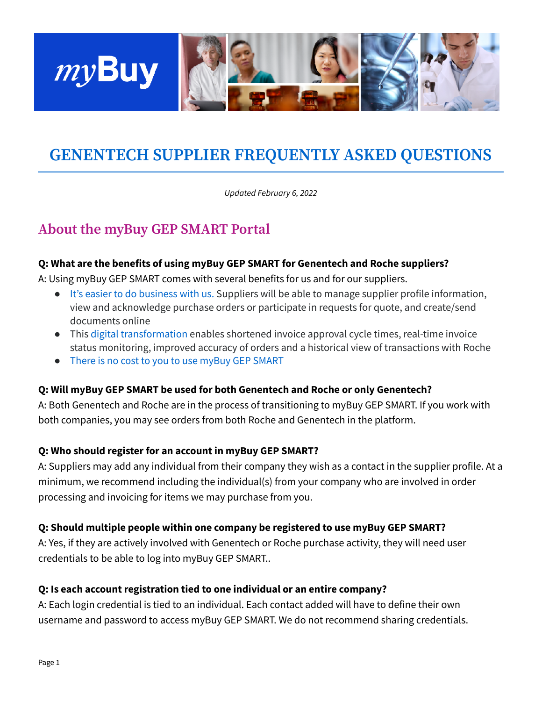

# **GENENTECH SUPPLIER FREQUENTLY ASKED QUESTIONS**

*Updated February 6, 2022*

## **About the myBuy GEP SMART Portal**

#### **Q: What are the benefits of using myBuy GEP SMART for Genentech and Roche suppliers?**

A: Using myBuy GEP SMART comes with several benefits for us and for our suppliers.

- It's easier to do business with us. Suppliers will be able to manage supplier profile information, view and acknowledge purchase orders or participate in requests for quote, and create/send documents online
- This digital transformation enables shortened invoice approval cycle times, real-time invoice status monitoring, improved accuracy of orders and a historical view of transactions with Roche
- There is no cost to you to use myBuy GEP SMART

#### **Q: Will myBuy GEP SMART be used for both Genentech and Roche or only Genentech?**

A: Both Genentech and Roche are in the process of transitioning to myBuy GEP SMART. If you work with both companies, you may see orders from both Roche and Genentech in the platform.

#### **Q: Who should register for an account in myBuy GEP SMART?**

A: Suppliers may add any individual from their company they wish as a contact in the supplier profile. At a minimum, we recommend including the individual(s) from your company who are involved in order processing and invoicing for items we may purchase from you.

#### **Q: Should multiple people within one company be registered to use myBuy GEP SMART?**

A: Yes, if they are actively involved with Genentech or Roche purchase activity, they will need user credentials to be able to log into myBuy GEP SMART..

#### **Q: Is each account registration tied to one individual or an entire company?**

A: Each login credential is tied to an individual. Each contact added will have to define their own username and password to access myBuy GEP SMART. We do not recommend sharing credentials.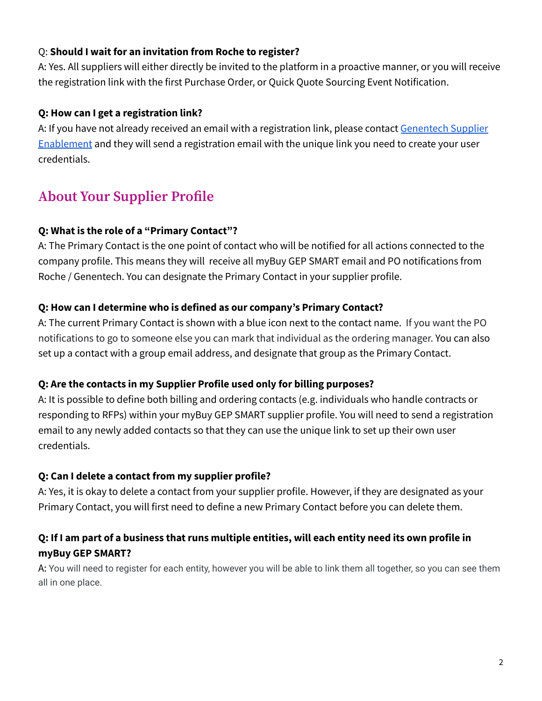## Q: **Should I wait for an invitation from Roche to register?**

A: Yes. All suppliers will either directly be invited to the platform in a proactive manner, or you will receive the registration link with the first Purchase Order, or Quick Quote Sourcing Event Notification.

### **Q: How can I get a registration link?**

A: If you have not already received an email with a registration link, please contact [Genentech](mailto:mybuy-enablement@gene.com) Supplier [Enablement](mailto:mybuy-enablement@gene.com) and they will send a registration email with the unique link you need to create your user credentials.

## **About Your Supplier Profile**

#### **Q: What is the role of a "Primary Contact"?**

A: The Primary Contact is the one point of contact who will be notified for all actions connected to the company profile. This means they will receive all myBuy GEP SMART email and PO notifications from Roche / Genentech. You can designate the Primary Contact in your supplier profile.

#### **Q: How can I determine who is defined as our company's Primary Contact?**

A: The current Primary Contact is shown with a blue icon next to the contact name. If you want the PO notifications to go to someone else you can mark that individual as the ordering manager. You can also set up a contact with a group email address, and designate that group as the Primary Contact.

## **Q: Are the contacts in my Supplier Profile used only for billing purposes?**

A: It is possible to define both billing and ordering contacts (e.g. individuals who handle contracts or responding to RFPs) within your myBuy GEP SMART supplier profile. You will need to send a registration email to any newly added contacts so that they can use the unique link to set up their own user credentials.

## **Q: Can I delete a contact from my supplier profile?**

A: Yes, it is okay to delete a contact from your supplier profile. However, if they are designated as your Primary Contact, you will first need to define a new Primary Contact before you can delete them.

## Q: If I am part of a business that runs multiple entities, will each entity need its own profile in **myBuy GEP SMART?**

A: You will need to register for each entity, however you will be able to link them all together, so you can see them all in one place.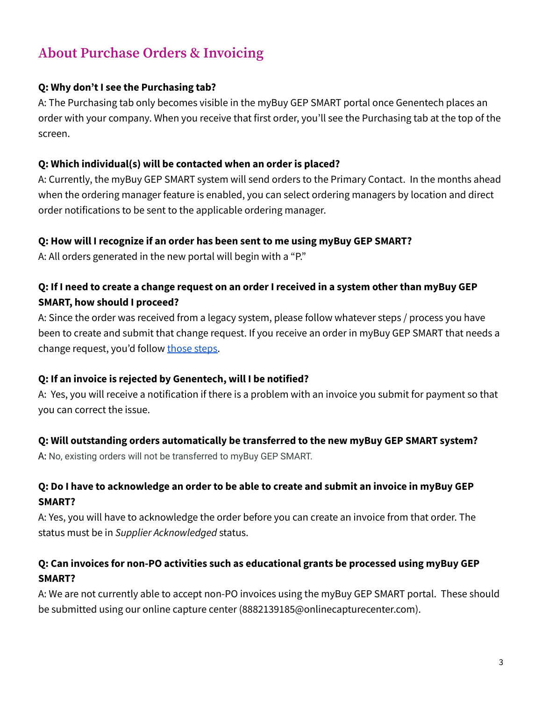## **About Purchase Orders & Invoicing**

## **Q: Why don't I see the Purchasing tab?**

A: The Purchasing tab only becomes visible in the myBuy GEP SMART portal once Genentech places an order with your company. When you receive that first order, you'll see the Purchasing tab at the top of the screen.

## **Q: Which individual(s) will be contacted when an order is placed?**

A: Currently, the myBuy GEP SMART system will send orders to the Primary Contact. In the months ahead when the ordering manager feature is enabled, you can select ordering managers by location and direct order notifications to be sent to the applicable ordering manager.

## **Q: How will I recognize if an order has been sent to me using myBuy GEP SMART?**

A: All orders generated in the new portal will begin with a "P."

## Q: If I need to create a change request on an order I received in a system other than myBuy GEP **SMART, how should I proceed?**

A: Since the order was received from a legacy system, please follow whatever steps / process you have been to create and submit that change request. If you receive an order in myBuy GEP SMART that needs a change request, you'd follow [those](https://www.gene.com/download/pdf/myBuy_GEP_SMART_Create-Change-Request.pdf) steps.

## **Q: If an invoice is rejected by Genentech, will I be notified?**

A: Yes, you will receive a notification if there is a problem with an invoice you submit for payment so that you can correct the issue.

## **Q: Will outstanding orders automatically be transferred to the new myBuy GEP SMART system?**

A: No, existing orders will not be transferred to myBuy GEP SMART.

## Q: Do I have to acknowledge an order to be able to create and submit an invoice in myBuy GEP **SMART?**

A: Yes, you will have to acknowledge the order before you can create an invoice from that order. The status must be in *Supplier Acknowledged* status.

## **Q: Can invoices for non-PO activities such as educational grants be processed using myBuy GEP SMART?**

A: We are not currently able to accept non-PO invoices using the myBuy GEP SMART portal. These should be submitted using our online capture center (8882139185@onlinecapturecenter.com).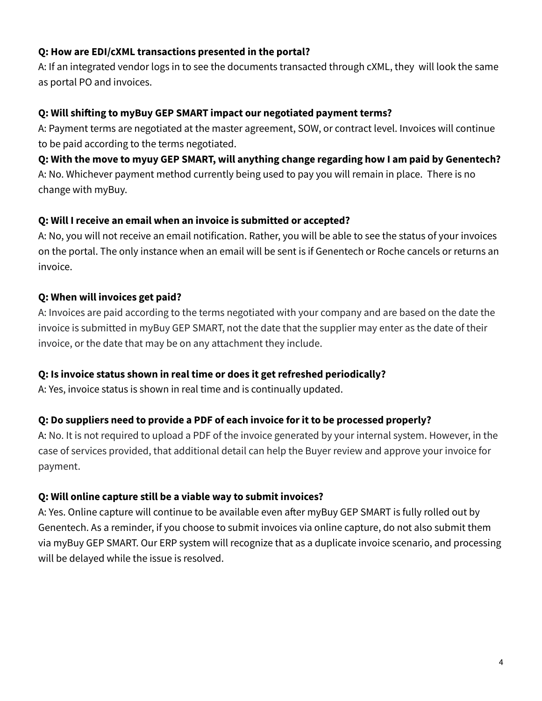## **Q: How are EDI/cXML transactions presented in the portal?**

A: If an integrated vendor logs in to see the documents transacted through cXML, they will look the same as portal PO and invoices.

#### **Q: Will shifting to myBuy GEP SMART impact our negotiated payment terms?**

A: Payment terms are negotiated at the master agreement, SOW, or contract level. Invoices will continue to be paid according to the terms negotiated.

## **Q: With the move to myuy GEP SMART, will anything change regarding how I am paid by Genentech?** A: No. Whichever payment method currently being used to pay you will remain in place. There is no change with myBuy.

#### **Q: Will I receive an email when an invoice is submitted or accepted?**

A: No, you will not receive an email notification. Rather, you will be able to see the status of your invoices on the portal. The only instance when an email will be sent is if Genentech or Roche cancels or returns an invoice.

## **Q: When will invoices get paid?**

A: Invoices are paid according to the terms negotiated with your company and are based on the date the invoice is submitted in myBuy GEP SMART, not the date that the supplier may enter as the date of their invoice, or the date that may be on any attachment they include.

## **Q: Is invoice status shown in real time or does it get refreshed periodically?**

A: Yes, invoice status is shown in real time and is continually updated.

## **Q: Do suppliers need to provide a PDF of each invoice for it to be processed properly?**

A: No. It is not required to upload a PDF of the invoice generated by your internal system. However, in the case of services provided, that additional detail can help the Buyer review and approve your invoice for payment.

## **Q: Will online capture still be a viable way to submit invoices?**

A: Yes. Online capture will continue to be available even after myBuy GEP SMART is fully rolled out by Genentech. As a reminder, if you choose to submit invoices via online capture, do not also submit them via myBuy GEP SMART. Our ERP system will recognize that as a duplicate invoice scenario, and processing will be delayed while the issue is resolved.